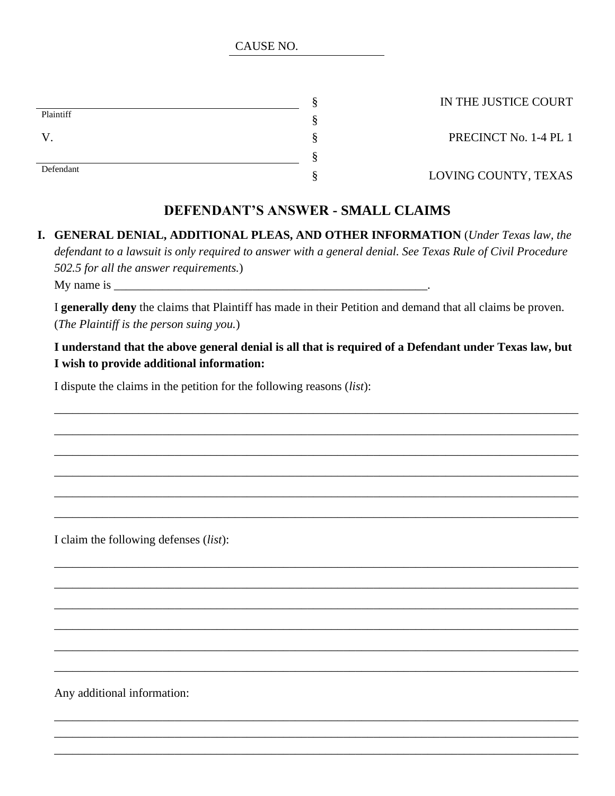CAUSE NO.

|           | œ |
|-----------|---|
| Plaintiff | œ |
|           | ດ |
|           | ດ |
| Defendant | ດ |

§ IN THE JUSTICE COURT

S PRECINCT No. 1-4 PL 1

§ LOVING COUNTY, TEXAS

## **DEFENDANT'S ANSWER - SMALL CLAIMS**

**I. GENERAL DENIAL, ADDITIONAL PLEAS, AND OTHER INFORMATION** (*Under Texas law, the defendant to a lawsuit is only required to answer with a general denial. See Texas Rule of Civil Procedure 502.5 for all the answer requirements.*) My name is  $\Box$ 

I **generally deny** the claims that Plaintiff has made in their Petition and demand that all claims be proven. (*The Plaintiff is the person suing you.*)

**I understand that the above general denial is all that is required of a Defendant under Texas law, but I wish to provide additional information:**

\_\_\_\_\_\_\_\_\_\_\_\_\_\_\_\_\_\_\_\_\_\_\_\_\_\_\_\_\_\_\_\_\_\_\_\_\_\_\_\_\_\_\_\_\_\_\_\_\_\_\_\_\_\_\_\_\_\_\_\_\_\_\_\_\_\_\_\_\_\_\_\_\_\_\_\_\_\_\_\_\_\_\_\_\_\_\_

\_\_\_\_\_\_\_\_\_\_\_\_\_\_\_\_\_\_\_\_\_\_\_\_\_\_\_\_\_\_\_\_\_\_\_\_\_\_\_\_\_\_\_\_\_\_\_\_\_\_\_\_\_\_\_\_\_\_\_\_\_\_\_\_\_\_\_\_\_\_\_\_\_\_\_\_\_\_\_\_\_\_\_\_\_\_\_

\_\_\_\_\_\_\_\_\_\_\_\_\_\_\_\_\_\_\_\_\_\_\_\_\_\_\_\_\_\_\_\_\_\_\_\_\_\_\_\_\_\_\_\_\_\_\_\_\_\_\_\_\_\_\_\_\_\_\_\_\_\_\_\_\_\_\_\_\_\_\_\_\_\_\_\_\_\_\_\_\_\_\_\_\_\_\_

\_\_\_\_\_\_\_\_\_\_\_\_\_\_\_\_\_\_\_\_\_\_\_\_\_\_\_\_\_\_\_\_\_\_\_\_\_\_\_\_\_\_\_\_\_\_\_\_\_\_\_\_\_\_\_\_\_\_\_\_\_\_\_\_\_\_\_\_\_\_\_\_\_\_\_\_\_\_\_\_\_\_\_\_\_\_\_

\_\_\_\_\_\_\_\_\_\_\_\_\_\_\_\_\_\_\_\_\_\_\_\_\_\_\_\_\_\_\_\_\_\_\_\_\_\_\_\_\_\_\_\_\_\_\_\_\_\_\_\_\_\_\_\_\_\_\_\_\_\_\_\_\_\_\_\_\_\_\_\_\_\_\_\_\_\_\_\_\_\_\_\_\_\_\_

\_\_\_\_\_\_\_\_\_\_\_\_\_\_\_\_\_\_\_\_\_\_\_\_\_\_\_\_\_\_\_\_\_\_\_\_\_\_\_\_\_\_\_\_\_\_\_\_\_\_\_\_\_\_\_\_\_\_\_\_\_\_\_\_\_\_\_\_\_\_\_\_\_\_\_\_\_\_\_\_\_\_\_\_\_\_\_

\_\_\_\_\_\_\_\_\_\_\_\_\_\_\_\_\_\_\_\_\_\_\_\_\_\_\_\_\_\_\_\_\_\_\_\_\_\_\_\_\_\_\_\_\_\_\_\_\_\_\_\_\_\_\_\_\_\_\_\_\_\_\_\_\_\_\_\_\_\_\_\_\_\_\_\_\_\_\_\_\_\_\_\_\_\_\_

\_\_\_\_\_\_\_\_\_\_\_\_\_\_\_\_\_\_\_\_\_\_\_\_\_\_\_\_\_\_\_\_\_\_\_\_\_\_\_\_\_\_\_\_\_\_\_\_\_\_\_\_\_\_\_\_\_\_\_\_\_\_\_\_\_\_\_\_\_\_\_\_\_\_\_\_\_\_\_\_\_\_\_\_\_\_\_

\_\_\_\_\_\_\_\_\_\_\_\_\_\_\_\_\_\_\_\_\_\_\_\_\_\_\_\_\_\_\_\_\_\_\_\_\_\_\_\_\_\_\_\_\_\_\_\_\_\_\_\_\_\_\_\_\_\_\_\_\_\_\_\_\_\_\_\_\_\_\_\_\_\_\_\_\_\_\_\_\_\_\_\_\_\_\_

\_\_\_\_\_\_\_\_\_\_\_\_\_\_\_\_\_\_\_\_\_\_\_\_\_\_\_\_\_\_\_\_\_\_\_\_\_\_\_\_\_\_\_\_\_\_\_\_\_\_\_\_\_\_\_\_\_\_\_\_\_\_\_\_\_\_\_\_\_\_\_\_\_\_\_\_\_\_\_\_\_\_\_\_\_\_\_

\_\_\_\_\_\_\_\_\_\_\_\_\_\_\_\_\_\_\_\_\_\_\_\_\_\_\_\_\_\_\_\_\_\_\_\_\_\_\_\_\_\_\_\_\_\_\_\_\_\_\_\_\_\_\_\_\_\_\_\_\_\_\_\_\_\_\_\_\_\_\_\_\_\_\_\_\_\_\_\_\_\_\_\_\_\_\_

\_\_\_\_\_\_\_\_\_\_\_\_\_\_\_\_\_\_\_\_\_\_\_\_\_\_\_\_\_\_\_\_\_\_\_\_\_\_\_\_\_\_\_\_\_\_\_\_\_\_\_\_\_\_\_\_\_\_\_\_\_\_\_\_\_\_\_\_\_\_\_\_\_\_\_\_\_\_\_\_\_\_\_\_\_\_\_

\_\_\_\_\_\_\_\_\_\_\_\_\_\_\_\_\_\_\_\_\_\_\_\_\_\_\_\_\_\_\_\_\_\_\_\_\_\_\_\_\_\_\_\_\_\_\_\_\_\_\_\_\_\_\_\_\_\_\_\_\_\_\_\_\_\_\_\_\_\_\_\_\_\_\_\_\_\_\_\_\_\_\_\_\_\_\_ \_\_\_\_\_\_\_\_\_\_\_\_\_\_\_\_\_\_\_\_\_\_\_\_\_\_\_\_\_\_\_\_\_\_\_\_\_\_\_\_\_\_\_\_\_\_\_\_\_\_\_\_\_\_\_\_\_\_\_\_\_\_\_\_\_\_\_\_\_\_\_\_\_\_\_\_\_\_\_\_\_\_\_\_\_\_\_ \_\_\_\_\_\_\_\_\_\_\_\_\_\_\_\_\_\_\_\_\_\_\_\_\_\_\_\_\_\_\_\_\_\_\_\_\_\_\_\_\_\_\_\_\_\_\_\_\_\_\_\_\_\_\_\_\_\_\_\_\_\_\_\_\_\_\_\_\_\_\_\_\_\_\_\_\_\_\_\_\_\_\_\_\_\_\_

I dispute the claims in the petition for the following reasons (*list*):

I claim the following defenses (*list*):

Any additional information: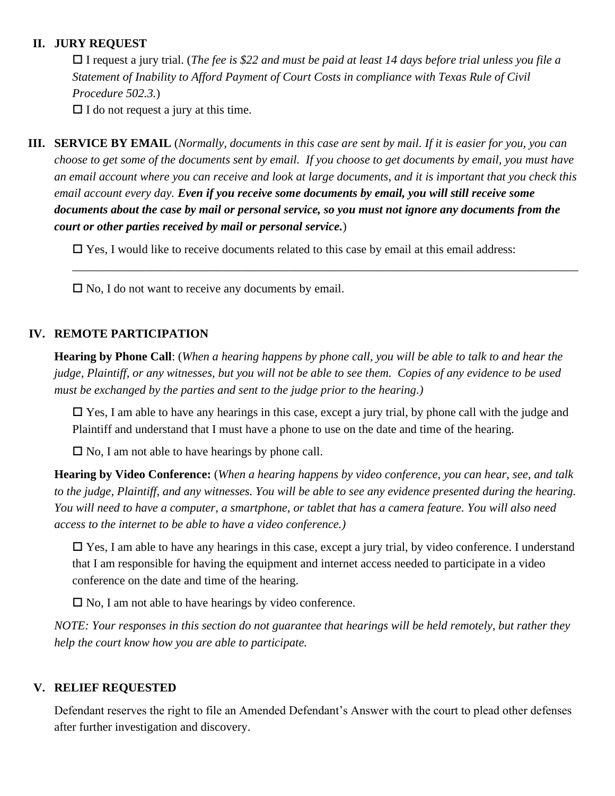#### **II. JURY REQUEST**

 I request a jury trial. (*The fee is \$22 and must be paid at least 14 days before trial unless you file a Statement of Inability to Afford Payment of Court Costs in compliance with Texas Rule of Civil Procedure 502.3.*)

 $\Box$  I do not request a jury at this time.

**III. SERVICE BY EMAIL** (*Normally, documents in this case are sent by mail. If it is easier for you, you can choose to get some of the documents sent by email. If you choose to get documents by email, you must have an email account where you can receive and look at large documents, and it is important that you check this email account every day. Even if you receive some documents by email, you will still receive some documents about the case by mail or personal service, so you must not ignore any documents from the court or other parties received by mail or personal service.*)

 $\Box$  Yes, I would like to receive documents related to this case by email at this email address:

\_\_\_\_\_\_\_\_\_\_\_\_\_\_\_\_\_\_\_\_\_\_\_\_\_\_\_\_\_\_\_\_\_\_\_\_\_\_\_\_\_\_\_\_\_\_\_\_\_\_\_\_\_\_\_\_\_\_\_\_\_\_\_\_\_\_\_\_\_\_\_\_\_\_\_\_\_\_\_\_\_\_\_\_

 $\square$  No, I do not want to receive any documents by email.

#### **IV. REMOTE PARTICIPATION**

**Hearing by Phone Call**: (*When a hearing happens by phone call, you will be able to talk to and hear the judge, Plaintiff, or any witnesses, but you will not be able to see them. Copies of any evidence to be used must be exchanged by the parties and sent to the judge prior to the hearing.)*

 $\square$  Yes, I am able to have any hearings in this case, except a jury trial, by phone call with the judge and Plaintiff and understand that I must have a phone to use on the date and time of the hearing.

 $\square$  No, I am not able to have hearings by phone call.

**Hearing by Video Conference:** (*When a hearing happens by video conference, you can hear, see, and talk to the judge, Plaintiff, and any witnesses. You will be able to see any evidence presented during the hearing. You will need to have a computer, a smartphone, or tablet that has a camera feature. You will also need access to the internet to be able to have a video conference.)*

 $\square$  Yes, I am able to have any hearings in this case, except a jury trial, by video conference. I understand that I am responsible for having the equipment and internet access needed to participate in a video conference on the date and time of the hearing.

 $\square$  No, I am not able to have hearings by video conference.

*NOTE: Your responses in this section do not guarantee that hearings will be held remotely, but rather they help the court know how you are able to participate.*

### **V. RELIEF REQUESTED**

Defendant reserves the right to file an Amended Defendant's Answer with the court to plead other defenses after further investigation and discovery.